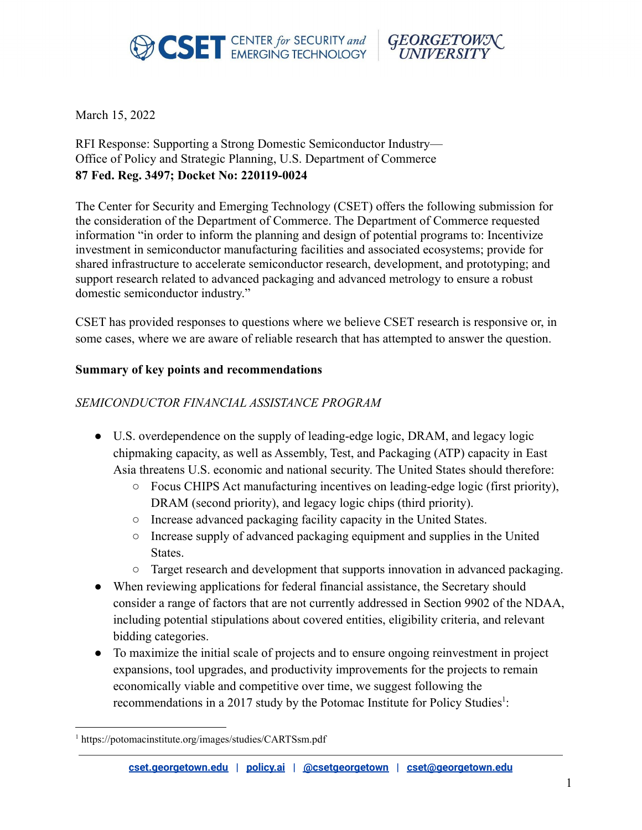



March 15, 2022

### RFI Response: Supporting a Strong Domestic Semiconductor Industry— Office of Policy and Strategic Planning, U.S. Department of Commerce **87 Fed. Reg. 3497; Docket No: 220119-0024**

The Center for Security and Emerging Technology (CSET) offers the following submission for the consideration of the Department of Commerce. The Department of Commerce requested information "in order to inform the planning and design of potential programs to: Incentivize investment in semiconductor manufacturing facilities and associated ecosystems; provide for shared infrastructure to accelerate semiconductor research, development, and prototyping; and support research related to advanced packaging and advanced metrology to ensure a robust domestic semiconductor industry."

CSET has provided responses to questions where we believe CSET research is responsive or, in some cases, where we are aware of reliable research that has attempted to answer the question.

#### **Summary of key points and recommendations**

#### *SEMICONDUCTOR FINANCIAL ASSISTANCE PROGRAM*

- U.S. overdependence on the supply of leading-edge logic, DRAM, and legacy logic chipmaking capacity, as well as Assembly, Test, and Packaging (ATP) capacity in East Asia threatens U.S. economic and national security. The United States should therefore:
	- Focus CHIPS Act manufacturing incentives on leading-edge logic (first priority), DRAM (second priority), and legacy logic chips (third priority).
	- Increase advanced packaging facility capacity in the United States.
	- Increase supply of advanced packaging equipment and supplies in the United States.
	- Target research and development that supports innovation in advanced packaging.
- When reviewing applications for federal financial assistance, the Secretary should consider a range of factors that are not currently addressed in Section 9902 of the NDAA, including potential stipulations about covered entities, eligibility criteria, and relevant bidding categories.
- To maximize the initial scale of projects and to ensure ongoing reinvestment in project expansions, tool upgrades, and productivity improvements for the projects to remain economically viable and competitive over time, we suggest following the recommendations in a 2017 study by the Potomac Institute for Policy Studies $1$ :

<sup>1</sup> https://potomacinstitute.org/images/studies/CARTSsm.pdf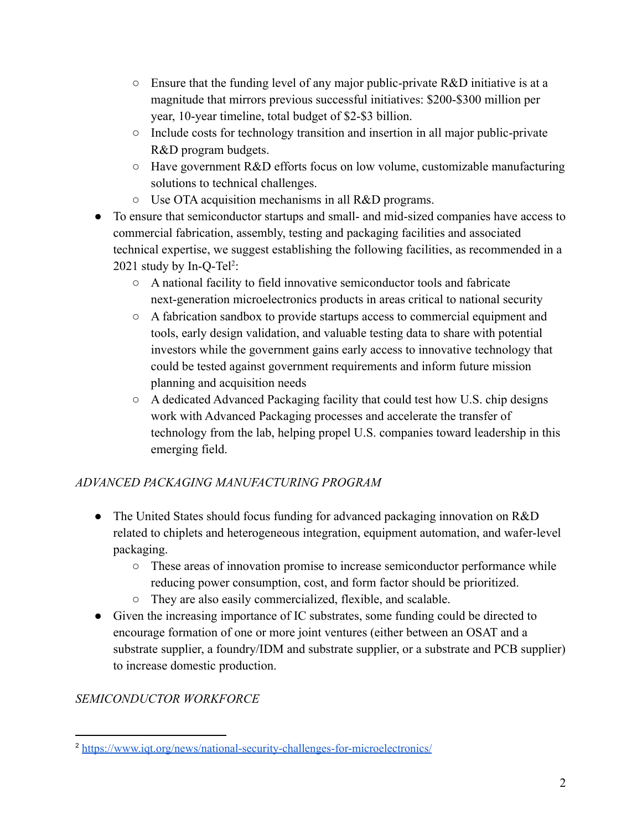- $\circ$  Ensure that the funding level of any major public-private R&D initiative is at a magnitude that mirrors previous successful initiatives: \$200-\$300 million per year, 10-year timeline, total budget of \$2-\$3 billion.
- Include costs for technology transition and insertion in all major public-private R&D program budgets.
- Have government R&D efforts focus on low volume, customizable manufacturing solutions to technical challenges.
- Use OTA acquisition mechanisms in all R&D programs.
- To ensure that semiconductor startups and small- and mid-sized companies have access to commercial fabrication, assembly, testing and packaging facilities and associated technical expertise, we suggest establishing the following facilities, as recommended in a 2021 study by In-Q-Tel<sup>2</sup>:
	- A national facility to field innovative semiconductor tools and fabricate next-generation microelectronics products in areas critical to national security
	- A fabrication sandbox to provide startups access to commercial equipment and tools, early design validation, and valuable testing data to share with potential investors while the government gains early access to innovative technology that could be tested against government requirements and inform future mission planning and acquisition needs
	- A dedicated Advanced Packaging facility that could test how U.S. chip designs work with Advanced Packaging processes and accelerate the transfer of technology from the lab, helping propel U.S. companies toward leadership in this emerging field.

# *ADVANCED PACKAGING MANUFACTURING PROGRAM*

- The United States should focus funding for advanced packaging innovation on R&D related to chiplets and heterogeneous integration, equipment automation, and wafer-level packaging.
	- These areas of innovation promise to increase semiconductor performance while reducing power consumption, cost, and form factor should be prioritized.
	- They are also easily commercialized, flexible, and scalable.
- Given the increasing importance of IC substrates, some funding could be directed to encourage formation of one or more joint ventures (either between an OSAT and a substrate supplier, a foundry/IDM and substrate supplier, or a substrate and PCB supplier) to increase domestic production.

# *SEMICONDUCTOR WORKFORCE*

<sup>2</sup> <https://www.iqt.org/news/national-security-challenges-for-microelectronics/>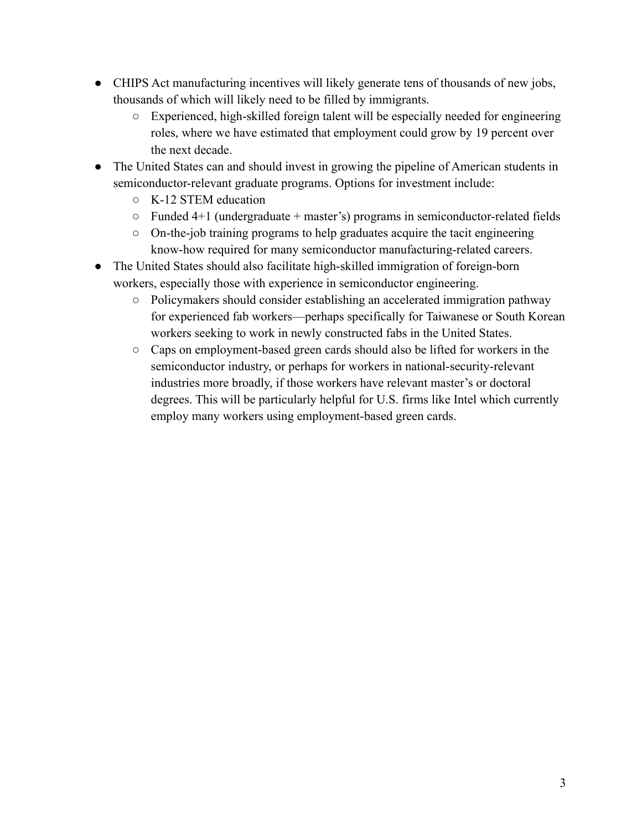- CHIPS Act manufacturing incentives will likely generate tens of thousands of new jobs, thousands of which will likely need to be filled by immigrants.
	- Experienced, high-skilled foreign talent will be especially needed for engineering roles, where we have estimated that employment could grow by 19 percent over the next decade.
- The United States can and should invest in growing the pipeline of American students in semiconductor-relevant graduate programs. Options for investment include:
	- K-12 STEM education
	- $\circ$  Funded 4+1 (undergraduate + master's) programs in semiconductor-related fields
	- On-the-job training programs to help graduates acquire the tacit engineering know-how required for many semiconductor manufacturing-related careers.
- The United States should also facilitate high-skilled immigration of foreign-born workers, especially those with experience in semiconductor engineering.
	- Policymakers should consider establishing an accelerated immigration pathway for experienced fab workers—perhaps specifically for Taiwanese or South Korean workers seeking to work in newly constructed fabs in the United States.
	- Caps on employment-based green cards should also be lifted for workers in the semiconductor industry, or perhaps for workers in national-security-relevant industries more broadly, if those workers have relevant master's or doctoral degrees. This will be particularly helpful for U.S. firms like Intel which currently employ many workers using employment-based green cards.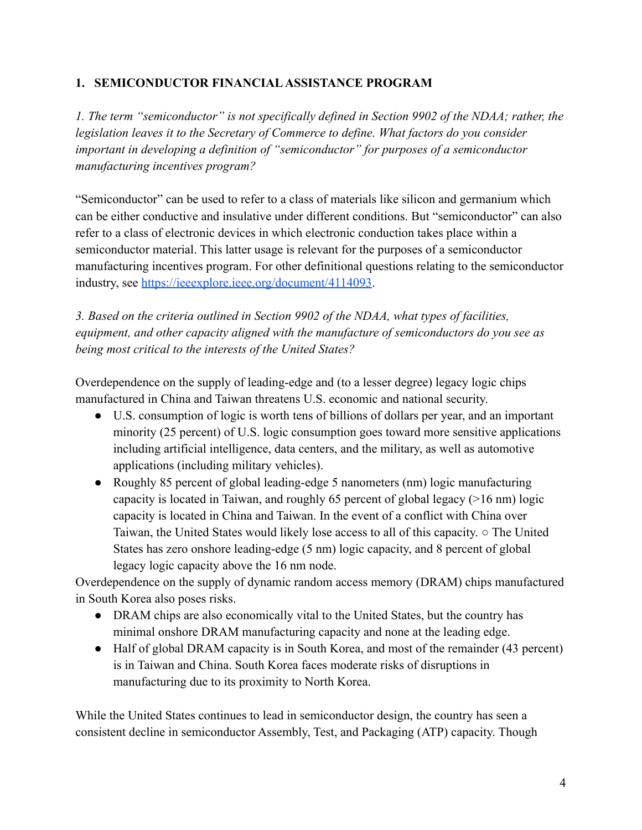### **1. SEMICONDUCTOR FINANCIALASSISTANCE PROGRAM**

*1. The term "semiconductor" is not specifically defined in Section 9902 of the NDAA; rather, the legislation leaves it to the Secretary of Commerce to define. What factors do you consider important in developing a definition of "semiconductor" for purposes of a semiconductor manufacturing incentives program?*

"Semiconductor" can be used to refer to a class of materials like silicon and germanium which can be either conductive and insulative under different conditions. But "semiconductor" can also refer to a class of electronic devices in which electronic conduction takes place within a semiconductor material. This latter usage is relevant for the purposes of a semiconductor manufacturing incentives program. For other definitional questions relating to the semiconductor industry, see [https://ieeexplore.ieee.org/document/4114093.](https://ieeexplore.ieee.org/document/4114093)

*3. Based on the criteria outlined in Section 9902 of the NDAA, what types of facilities, equipment, and other capacity aligned with the manufacture of semiconductors do you see as being most critical to the interests of the United States?*

Overdependence on the supply of leading-edge and (to a lesser degree) legacy logic chips manufactured in China and Taiwan threatens U.S. economic and national security.

- U.S. consumption of logic is worth tens of billions of dollars per year, and an important minority (25 percent) of U.S. logic consumption goes toward more sensitive applications including artificial intelligence, data centers, and the military, as well as automotive applications (including military vehicles).
- Roughly 85 percent of global leading-edge 5 nanometers (nm) logic manufacturing capacity is located in Taiwan, and roughly 65 percent of global legacy (>16 nm) logic capacity is located in China and Taiwan. In the event of a conflict with China over Taiwan, the United States would likely lose access to all of this capacity. ○ The United States has zero onshore leading-edge (5 nm) logic capacity, and 8 percent of global legacy logic capacity above the 16 nm node.

Overdependence on the supply of dynamic random access memory (DRAM) chips manufactured in South Korea also poses risks.

- DRAM chips are also economically vital to the United States, but the country has minimal onshore DRAM manufacturing capacity and none at the leading edge.
- Half of global DRAM capacity is in South Korea, and most of the remainder (43 percent) is in Taiwan and China. South Korea faces moderate risks of disruptions in manufacturing due to its proximity to North Korea.

While the United States continues to lead in semiconductor design, the country has seen a consistent decline in semiconductor Assembly, Test, and Packaging (ATP) capacity. Though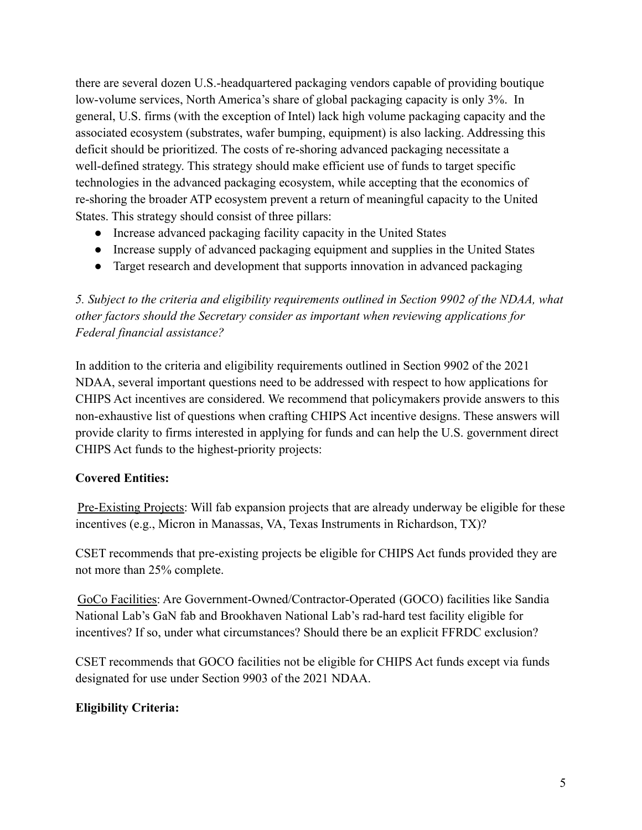there are several dozen U.S.-headquartered packaging vendors capable of providing boutique low-volume services, North America's share of global packaging capacity is only 3%. In general, U.S. firms (with the exception of Intel) lack high volume packaging capacity and the associated ecosystem (substrates, wafer bumping, equipment) is also lacking. Addressing this deficit should be prioritized. The costs of re-shoring advanced packaging necessitate a well-defined strategy. This strategy should make efficient use of funds to target specific technologies in the advanced packaging ecosystem, while accepting that the economics of re-shoring the broader ATP ecosystem prevent a return of meaningful capacity to the United States. This strategy should consist of three pillars:

- Increase advanced packaging facility capacity in the United States
- Increase supply of advanced packaging equipment and supplies in the United States
- Target research and development that supports innovation in advanced packaging

*5. Subject to the criteria and eligibility requirements outlined in Section 9902 of the NDAA, what other factors should the Secretary consider as important when reviewing applications for Federal financial assistance?*

In addition to the criteria and eligibility requirements outlined in Section 9902 of the 2021 NDAA, several important questions need to be addressed with respect to how applications for CHIPS Act incentives are considered. We recommend that policymakers provide answers to this non-exhaustive list of questions when crafting CHIPS Act incentive designs. These answers will provide clarity to firms interested in applying for funds and can help the U.S. government direct CHIPS Act funds to the highest-priority projects:

### **Covered Entities:**

Pre-Existing Projects: Will fab expansion projects that are already underway be eligible for these incentives (e.g., Micron in Manassas, VA, Texas Instruments in Richardson, TX)?

CSET recommends that pre-existing projects be eligible for CHIPS Act funds provided they are not more than 25% complete.

GoCo Facilities: Are Government-Owned/Contractor-Operated (GOCO) facilities like Sandia National Lab's GaN fab and Brookhaven National Lab's rad-hard test facility eligible for incentives? If so, under what circumstances? Should there be an explicit FFRDC exclusion?

CSET recommends that GOCO facilities not be eligible for CHIPS Act funds except via funds designated for use under Section 9903 of the 2021 NDAA.

### **Eligibility Criteria:**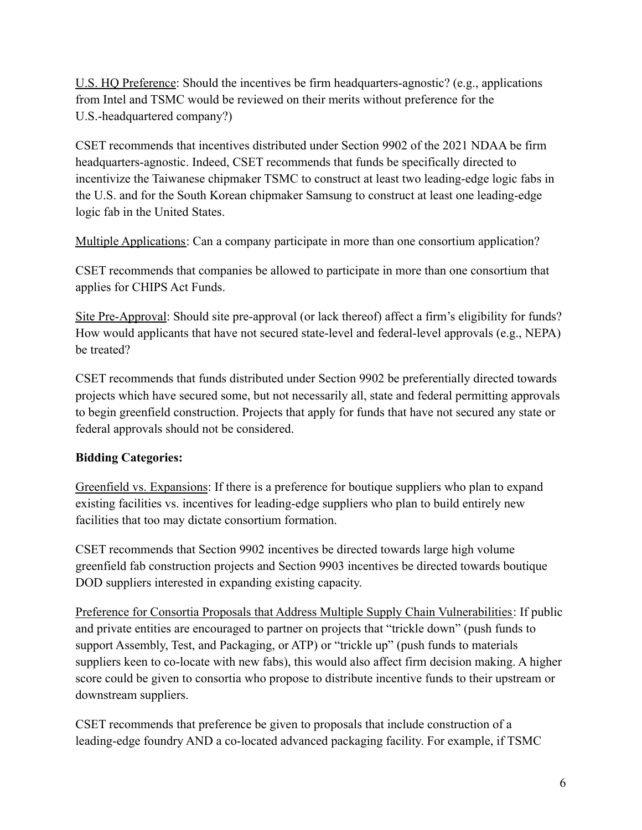U.S. HQ Preference: Should the incentives be firm headquarters-agnostic? (e.g., applications from Intel and TSMC would be reviewed on their merits without preference for the U.S.-headquartered company?)

CSET recommends that incentives distributed under Section 9902 of the 2021 NDAA be firm headquarters-agnostic. Indeed, CSET recommends that funds be specifically directed to incentivize the Taiwanese chipmaker TSMC to construct at least two leading-edge logic fabs in the U.S. and for the South Korean chipmaker Samsung to construct at least one leading-edge logic fab in the United States.

Multiple Applications: Can a company participate in more than one consortium application?

CSET recommends that companies be allowed to participate in more than one consortium that applies for CHIPS Act Funds.

Site Pre-Approval: Should site pre-approval (or lack thereof) affect a firm's eligibility for funds? How would applicants that have not secured state-level and federal-level approvals (e.g., NEPA) be treated?

CSET recommends that funds distributed under Section 9902 be preferentially directed towards projects which have secured some, but not necessarily all, state and federal permitting approvals to begin greenfield construction. Projects that apply for funds that have not secured any state or federal approvals should not be considered.

# **Bidding Categories:**

Greenfield vs. Expansions: If there is a preference for boutique suppliers who plan to expand existing facilities vs. incentives for leading-edge suppliers who plan to build entirely new facilities that too may dictate consortium formation.

CSET recommends that Section 9902 incentives be directed towards large high volume greenfield fab construction projects and Section 9903 incentives be directed towards boutique DOD suppliers interested in expanding existing capacity.

Preference for Consortia Proposals that Address Multiple Supply Chain Vulnerabilities: If public and private entities are encouraged to partner on projects that "trickle down" (push funds to support Assembly, Test, and Packaging, or ATP) or "trickle up" (push funds to materials suppliers keen to co-locate with new fabs), this would also affect firm decision making. A higher score could be given to consortia who propose to distribute incentive funds to their upstream or downstream suppliers.

CSET recommends that preference be given to proposals that include construction of a leading-edge foundry AND a co-located advanced packaging facility. For example, if TSMC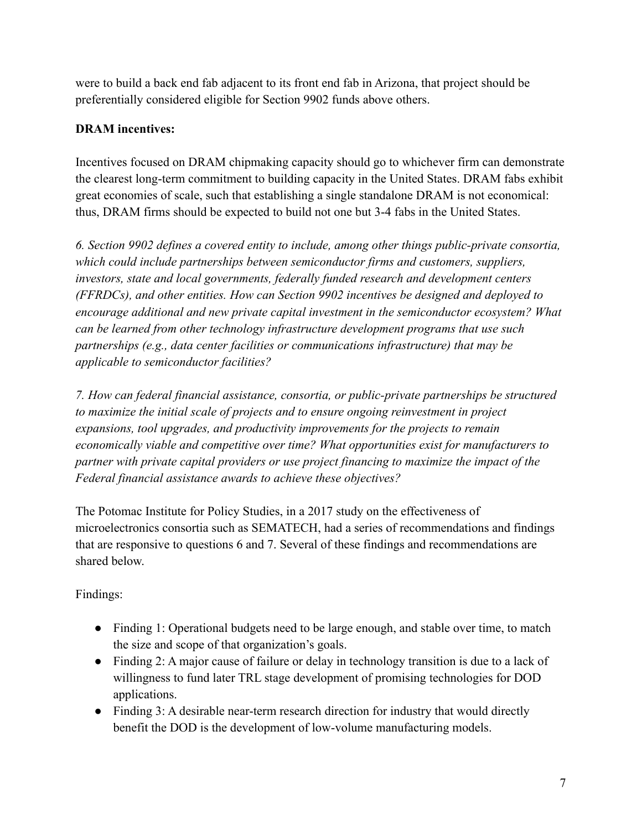were to build a back end fab adjacent to its front end fab in Arizona, that project should be preferentially considered eligible for Section 9902 funds above others.

## **DRAM incentives:**

Incentives focused on DRAM chipmaking capacity should go to whichever firm can demonstrate the clearest long-term commitment to building capacity in the United States. DRAM fabs exhibit great economies of scale, such that establishing a single standalone DRAM is not economical: thus, DRAM firms should be expected to build not one but 3-4 fabs in the United States.

*6. Section 9902 defines a covered entity to include, among other things public-private consortia, which could include partnerships between semiconductor firms and customers, suppliers, investors, state and local governments, federally funded research and development centers (FFRDCs), and other entities. How can Section 9902 incentives be designed and deployed to encourage additional and new private capital investment in the semiconductor ecosystem? What can be learned from other technology infrastructure development programs that use such partnerships (e.g., data center facilities or communications infrastructure) that may be applicable to semiconductor facilities?*

*7. How can federal financial assistance, consortia, or public-private partnerships be structured to maximize the initial scale of projects and to ensure ongoing reinvestment in project expansions, tool upgrades, and productivity improvements for the projects to remain economically viable and competitive over time? What opportunities exist for manufacturers to partner with private capital providers or use project financing to maximize the impact of the Federal financial assistance awards to achieve these objectives?*

The Potomac Institute for Policy Studies, in a 2017 study on the effectiveness of microelectronics consortia such as SEMATECH, had a series of recommendations and findings that are responsive to questions 6 and 7. Several of these findings and recommendations are shared below.

Findings:

- Finding 1: Operational budgets need to be large enough, and stable over time, to match the size and scope of that organization's goals.
- Finding 2: A major cause of failure or delay in technology transition is due to a lack of willingness to fund later TRL stage development of promising technologies for DOD applications.
- Finding 3: A desirable near-term research direction for industry that would directly benefit the DOD is the development of low-volume manufacturing models.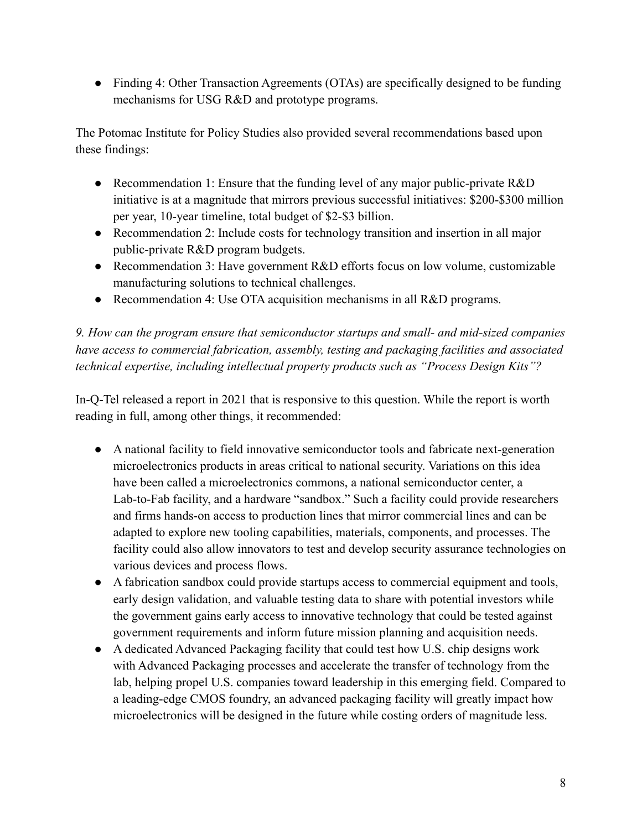• Finding 4: Other Transaction Agreements (OTAs) are specifically designed to be funding mechanisms for USG R&D and prototype programs.

The Potomac Institute for Policy Studies also provided several recommendations based upon these findings:

- Recommendation 1: Ensure that the funding level of any major public-private R&D initiative is at a magnitude that mirrors previous successful initiatives: \$200-\$300 million per year, 10-year timeline, total budget of \$2-\$3 billion.
- Recommendation 2: Include costs for technology transition and insertion in all major public-private R&D program budgets.
- Recommendation 3: Have government R&D efforts focus on low volume, customizable manufacturing solutions to technical challenges.
- Recommendation 4: Use OTA acquisition mechanisms in all R&D programs.

*9. How can the program ensure that semiconductor startups and small- and mid-sized companies have access to commercial fabrication, assembly, testing and packaging facilities and associated technical expertise, including intellectual property products such as "Process Design Kits"?*

In-Q-Tel released a report in 2021 that is responsive to this question. While the report is worth reading in full, among other things, it recommended:

- A national facility to field innovative semiconductor tools and fabricate next-generation microelectronics products in areas critical to national security. Variations on this idea have been called a microelectronics commons, a national semiconductor center, a Lab-to-Fab facility, and a hardware "sandbox." Such a facility could provide researchers and firms hands-on access to production lines that mirror commercial lines and can be adapted to explore new tooling capabilities, materials, components, and processes. The facility could also allow innovators to test and develop security assurance technologies on various devices and process flows.
- A fabrication sandbox could provide startups access to commercial equipment and tools, early design validation, and valuable testing data to share with potential investors while the government gains early access to innovative technology that could be tested against government requirements and inform future mission planning and acquisition needs.
- A dedicated Advanced Packaging facility that could test how U.S. chip designs work with Advanced Packaging processes and accelerate the transfer of technology from the lab, helping propel U.S. companies toward leadership in this emerging field. Compared to a leading-edge CMOS foundry, an advanced packaging facility will greatly impact how microelectronics will be designed in the future while costing orders of magnitude less.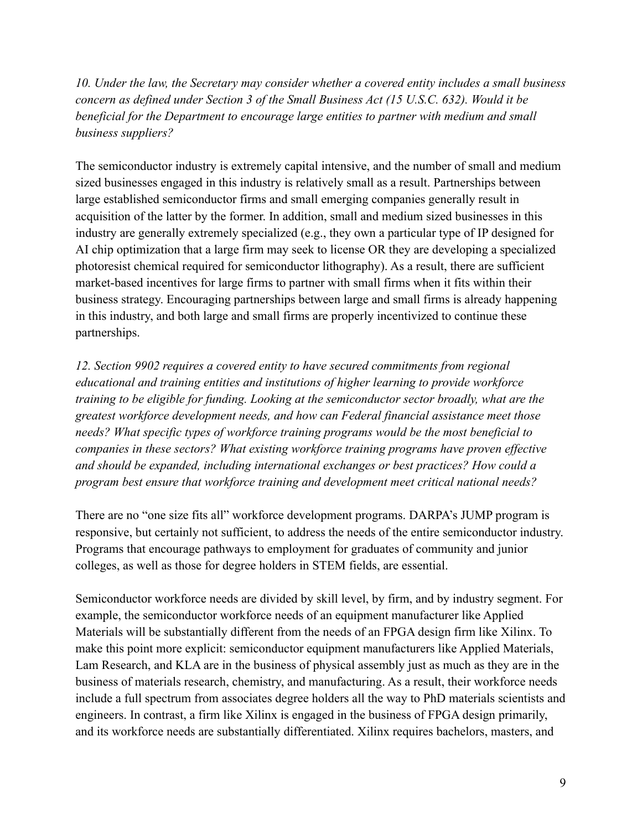*10. Under the law, the Secretary may consider whether a covered entity includes a small business concern as defined under Section 3 of the Small Business Act (15 U.S.C. 632). Would it be beneficial for the Department to encourage large entities to partner with medium and small business suppliers?*

The semiconductor industry is extremely capital intensive, and the number of small and medium sized businesses engaged in this industry is relatively small as a result. Partnerships between large established semiconductor firms and small emerging companies generally result in acquisition of the latter by the former. In addition, small and medium sized businesses in this industry are generally extremely specialized (e.g., they own a particular type of IP designed for AI chip optimization that a large firm may seek to license OR they are developing a specialized photoresist chemical required for semiconductor lithography). As a result, there are sufficient market-based incentives for large firms to partner with small firms when it fits within their business strategy. Encouraging partnerships between large and small firms is already happening in this industry, and both large and small firms are properly incentivized to continue these partnerships.

*12. Section 9902 requires a covered entity to have secured commitments from regional educational and training entities and institutions of higher learning to provide workforce training to be eligible for funding. Looking at the semiconductor sector broadly, what are the greatest workforce development needs, and how can Federal financial assistance meet those needs? What specific types of workforce training programs would be the most beneficial to companies in these sectors? What existing workforce training programs have proven effective and should be expanded, including international exchanges or best practices? How could a program best ensure that workforce training and development meet critical national needs?*

There are no "one size fits all" workforce development programs. DARPA's JUMP program is responsive, but certainly not sufficient, to address the needs of the entire semiconductor industry. Programs that encourage pathways to employment for graduates of community and junior colleges, as well as those for degree holders in STEM fields, are essential.

Semiconductor workforce needs are divided by skill level, by firm, and by industry segment. For example, the semiconductor workforce needs of an equipment manufacturer like Applied Materials will be substantially different from the needs of an FPGA design firm like Xilinx. To make this point more explicit: semiconductor equipment manufacturers like Applied Materials, Lam Research, and KLA are in the business of physical assembly just as much as they are in the business of materials research, chemistry, and manufacturing. As a result, their workforce needs include a full spectrum from associates degree holders all the way to PhD materials scientists and engineers. In contrast, a firm like Xilinx is engaged in the business of FPGA design primarily, and its workforce needs are substantially differentiated. Xilinx requires bachelors, masters, and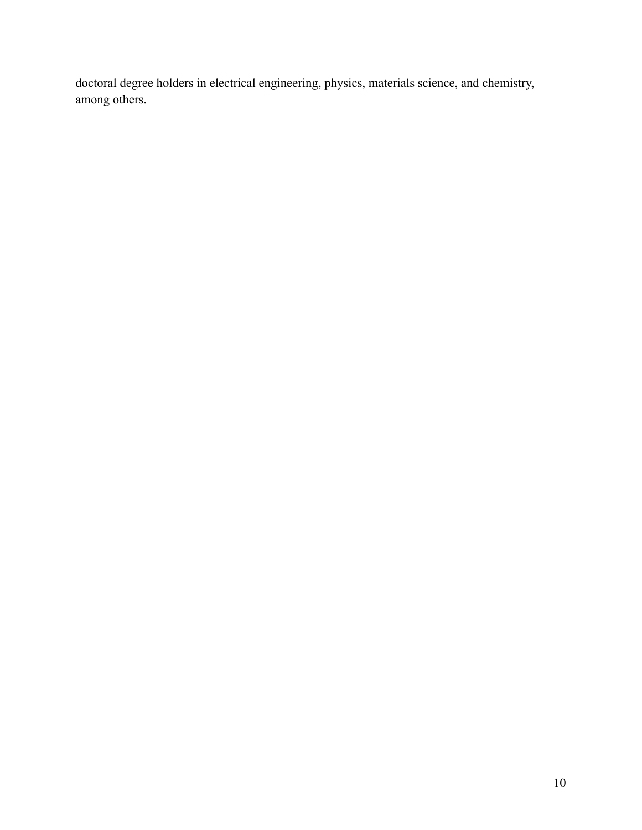doctoral degree holders in electrical engineering, physics, materials science, and chemistry, among others.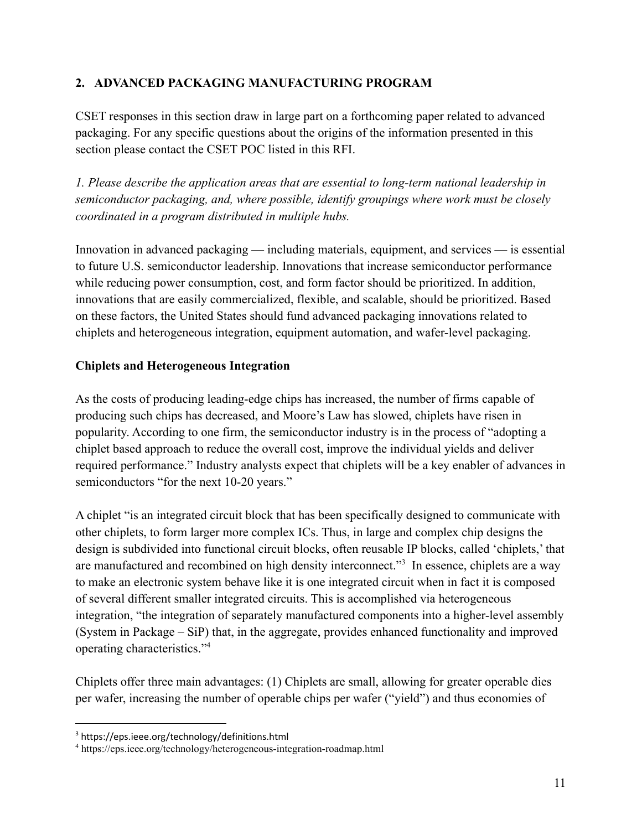### **2. ADVANCED PACKAGING MANUFACTURING PROGRAM**

CSET responses in this section draw in large part on a forthcoming paper related to advanced packaging. For any specific questions about the origins of the information presented in this section please contact the CSET POC listed in this RFI.

*1. Please describe the application areas that are essential to long-term national leadership in semiconductor packaging, and, where possible, identify groupings where work must be closely coordinated in a program distributed in multiple hubs.*

Innovation in advanced packaging — including materials, equipment, and services — is essential to future U.S. semiconductor leadership. Innovations that increase semiconductor performance while reducing power consumption, cost, and form factor should be prioritized. In addition, innovations that are easily commercialized, flexible, and scalable, should be prioritized. Based on these factors, the United States should fund advanced packaging innovations related to chiplets and heterogeneous integration, equipment automation, and wafer-level packaging.

### **Chiplets and Heterogeneous Integration**

As the costs of producing leading-edge chips has increased, the number of firms capable of producing such chips has decreased, and Moore's Law has slowed, chiplets have risen in popularity. According to one firm, the semiconductor industry is in the process of "adopting a chiplet based approach to reduce the overall cost, improve the individual yields and deliver required performance." Industry analysts expect that chiplets will be a key enabler of advances in semiconductors "for the next 10-20 years."

A chiplet "is an integrated circuit block that has been specifically designed to communicate with other chiplets, to form larger more complex ICs. Thus, in large and complex chip designs the design is subdivided into functional circuit blocks, often reusable IP blocks, called 'chiplets,' that are manufactured and recombined on high density interconnect."<sup>3</sup> In essence, chiplets are a way to make an electronic system behave like it is one integrated circuit when in fact it is composed of several different smaller integrated circuits. This is accomplished via heterogeneous integration, "the integration of separately manufactured components into a higher-level assembly (System in Package – SiP) that, in the aggregate, provides enhanced functionality and improved operating characteristics."<sup>4</sup>

Chiplets offer three main advantages: (1) Chiplets are small, allowing for greater operable dies per wafer, increasing the number of operable chips per wafer ("yield") and thus economies of

<sup>3</sup> https://eps.ieee.org/technology/definitions.html

<sup>4</sup> https://eps.ieee.org/technology/heterogeneous-integration-roadmap.html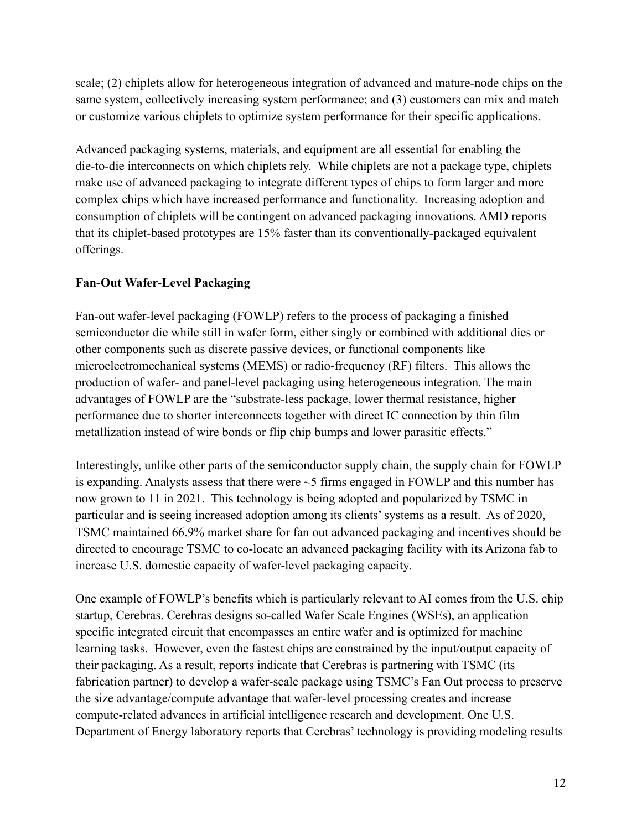scale; (2) chiplets allow for heterogeneous integration of advanced and mature-node chips on the same system, collectively increasing system performance; and (3) customers can mix and match or customize various chiplets to optimize system performance for their specific applications.

Advanced packaging systems, materials, and equipment are all essential for enabling the die-to-die interconnects on which chiplets rely. While chiplets are not a package type, chiplets make use of advanced packaging to integrate different types of chips to form larger and more complex chips which have increased performance and functionality. Increasing adoption and consumption of chiplets will be contingent on advanced packaging innovations. AMD reports that its chiplet-based prototypes are 15% faster than its conventionally-packaged equivalent offerings.

## **Fan-Out Wafer-Level Packaging**

Fan-out wafer-level packaging (FOWLP) refers to the process of packaging a finished semiconductor die while still in wafer form, either singly or combined with additional dies or other components such as discrete passive devices, or functional components like microelectromechanical systems (MEMS) or radio-frequency (RF) filters. This allows the production of wafer- and panel-level packaging using heterogeneous integration. The main advantages of FOWLP are the "substrate-less package, lower thermal resistance, higher performance due to shorter interconnects together with direct IC connection by thin film metallization instead of wire bonds or flip chip bumps and lower parasitic effects."

Interestingly, unlike other parts of the semiconductor supply chain, the supply chain for FOWLP is expanding. Analysts assess that there were ~5 firms engaged in FOWLP and this number has now grown to 11 in 2021. This technology is being adopted and popularized by TSMC in particular and is seeing increased adoption among its clients' systems as a result. As of 2020, TSMC maintained 66.9% market share for fan out advanced packaging and incentives should be directed to encourage TSMC to co-locate an advanced packaging facility with its Arizona fab to increase U.S. domestic capacity of wafer-level packaging capacity.

One example of FOWLP's benefits which is particularly relevant to AI comes from the U.S. chip startup, Cerebras. Cerebras designs so-called Wafer Scale Engines (WSEs), an application specific integrated circuit that encompasses an entire wafer and is optimized for machine learning tasks. However, even the fastest chips are constrained by the input/output capacity of their packaging. As a result, reports indicate that Cerebras is partnering with TSMC (its fabrication partner) to develop a wafer-scale package using TSMC's Fan Out process to preserve the size advantage/compute advantage that wafer-level processing creates and increase compute-related advances in artificial intelligence research and development. One U.S. Department of Energy laboratory reports that Cerebras' technology is providing modeling results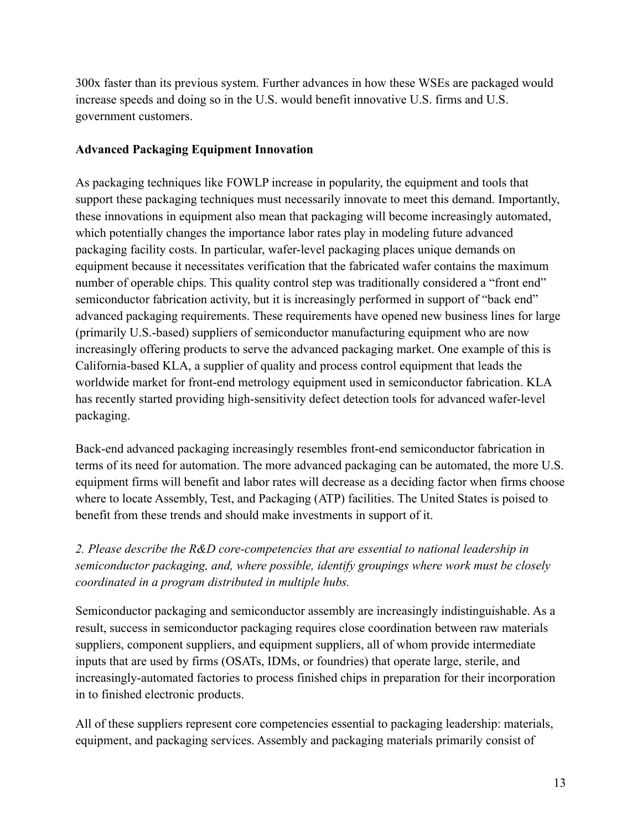300x faster than its previous system. Further advances in how these WSEs are packaged would increase speeds and doing so in the U.S. would benefit innovative U.S. firms and U.S. government customers.

#### **Advanced Packaging Equipment Innovation**

As packaging techniques like FOWLP increase in popularity, the equipment and tools that support these packaging techniques must necessarily innovate to meet this demand. Importantly, these innovations in equipment also mean that packaging will become increasingly automated, which potentially changes the importance labor rates play in modeling future advanced packaging facility costs. In particular, wafer-level packaging places unique demands on equipment because it necessitates verification that the fabricated wafer contains the maximum number of operable chips. This quality control step was traditionally considered a "front end" semiconductor fabrication activity, but it is increasingly performed in support of "back end" advanced packaging requirements. These requirements have opened new business lines for large (primarily U.S.-based) suppliers of semiconductor manufacturing equipment who are now increasingly offering products to serve the advanced packaging market. One example of this is California-based KLA, a supplier of quality and process control equipment that leads the worldwide market for front-end metrology equipment used in semiconductor fabrication. KLA has recently started providing high-sensitivity defect detection tools for advanced wafer-level packaging.

Back-end advanced packaging increasingly resembles front-end semiconductor fabrication in terms of its need for automation. The more advanced packaging can be automated, the more U.S. equipment firms will benefit and labor rates will decrease as a deciding factor when firms choose where to locate Assembly, Test, and Packaging (ATP) facilities. The United States is poised to benefit from these trends and should make investments in support of it.

*2. Please describe the R&D core-competencies that are essential to national leadership in semiconductor packaging, and, where possible, identify groupings where work must be closely coordinated in a program distributed in multiple hubs.*

Semiconductor packaging and semiconductor assembly are increasingly indistinguishable. As a result, success in semiconductor packaging requires close coordination between raw materials suppliers, component suppliers, and equipment suppliers, all of whom provide intermediate inputs that are used by firms (OSATs, IDMs, or foundries) that operate large, sterile, and increasingly-automated factories to process finished chips in preparation for their incorporation in to finished electronic products.

All of these suppliers represent core competencies essential to packaging leadership: materials, equipment, and packaging services. Assembly and packaging materials primarily consist of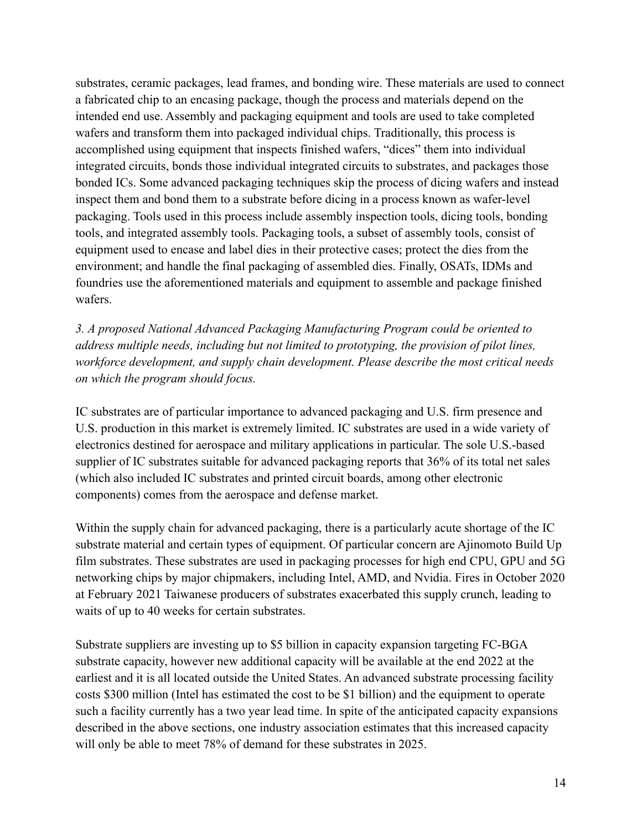substrates, ceramic packages, lead frames, and bonding wire. These materials are used to connect a fabricated chip to an encasing package, though the process and materials depend on the intended end use. Assembly and packaging equipment and tools are used to take completed wafers and transform them into packaged individual chips. Traditionally, this process is accomplished using equipment that inspects finished wafers, "dices" them into individual integrated circuits, bonds those individual integrated circuits to substrates, and packages those bonded ICs. Some advanced packaging techniques skip the process of dicing wafers and instead inspect them and bond them to a substrate before dicing in a process known as wafer-level packaging. Tools used in this process include assembly inspection tools, dicing tools, bonding tools, and integrated assembly tools. Packaging tools, a subset of assembly tools, consist of equipment used to encase and label dies in their protective cases; protect the dies from the environment; and handle the final packaging of assembled dies. Finally, OSATs, IDMs and foundries use the aforementioned materials and equipment to assemble and package finished wafers.

*3. A proposed National Advanced Packaging Manufacturing Program could be oriented to address multiple needs, including but not limited to prototyping, the provision of pilot lines, workforce development, and supply chain development. Please describe the most critical needs on which the program should focus.*

IC substrates are of particular importance to advanced packaging and U.S. firm presence and U.S. production in this market is extremely limited. IC substrates are used in a wide variety of electronics destined for aerospace and military applications in particular. The sole U.S.-based supplier of IC substrates suitable for advanced packaging reports that 36% of its total net sales (which also included IC substrates and printed circuit boards, among other electronic components) comes from the aerospace and defense market.

Within the supply chain for advanced packaging, there is a particularly acute shortage of the IC substrate material and certain types of equipment. Of particular concern are Ajinomoto Build Up film substrates. These substrates are used in packaging processes for high end CPU, GPU and 5G networking chips by major chipmakers, including Intel, AMD, and Nvidia. Fires in October 2020 at February 2021 Taiwanese producers of substrates exacerbated this supply crunch, leading to waits of up to 40 weeks for certain substrates.

Substrate suppliers are investing up to \$5 billion in capacity expansion targeting FC-BGA substrate capacity, however new additional capacity will be available at the end 2022 at the earliest and it is all located outside the United States. An advanced substrate processing facility costs \$300 million (Intel has estimated the cost to be \$1 billion) and the equipment to operate such a facility currently has a two year lead time. In spite of the anticipated capacity expansions described in the above sections, one industry association estimates that this increased capacity will only be able to meet 78% of demand for these substrates in 2025.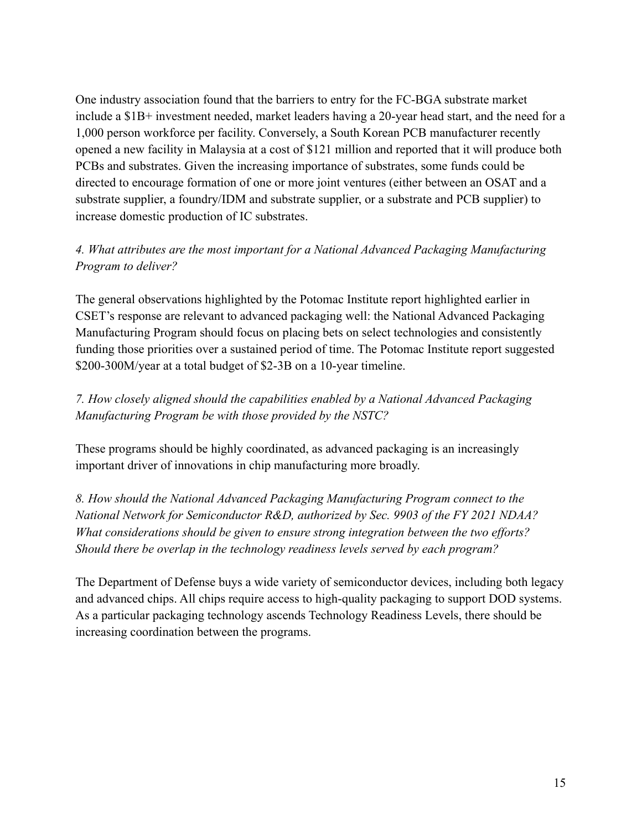One industry association found that the barriers to entry for the FC-BGA substrate market include a \$1B+ investment needed, market leaders having a 20-year head start, and the need for a 1,000 person workforce per facility. Conversely, a South Korean PCB manufacturer recently opened a new facility in Malaysia at a cost of \$121 million and reported that it will produce both PCBs and substrates. Given the increasing importance of substrates, some funds could be directed to encourage formation of one or more joint ventures (either between an OSAT and a substrate supplier, a foundry/IDM and substrate supplier, or a substrate and PCB supplier) to increase domestic production of IC substrates.

### *4. What attributes are the most important for a National Advanced Packaging Manufacturing Program to deliver?*

The general observations highlighted by the Potomac Institute report highlighted earlier in CSET's response are relevant to advanced packaging well: the National Advanced Packaging Manufacturing Program should focus on placing bets on select technologies and consistently funding those priorities over a sustained period of time. The Potomac Institute report suggested \$200-300M/year at a total budget of \$2-3B on a 10-year timeline.

## *7. How closely aligned should the capabilities enabled by a National Advanced Packaging Manufacturing Program be with those provided by the NSTC?*

These programs should be highly coordinated, as advanced packaging is an increasingly important driver of innovations in chip manufacturing more broadly.

*8. How should the National Advanced Packaging Manufacturing Program connect to the National Network for Semiconductor R&D, authorized by Sec. 9903 of the FY 2021 NDAA? What considerations should be given to ensure strong integration between the two efforts? Should there be overlap in the technology readiness levels served by each program?*

The Department of Defense buys a wide variety of semiconductor devices, including both legacy and advanced chips. All chips require access to high-quality packaging to support DOD systems. As a particular packaging technology ascends Technology Readiness Levels, there should be increasing coordination between the programs.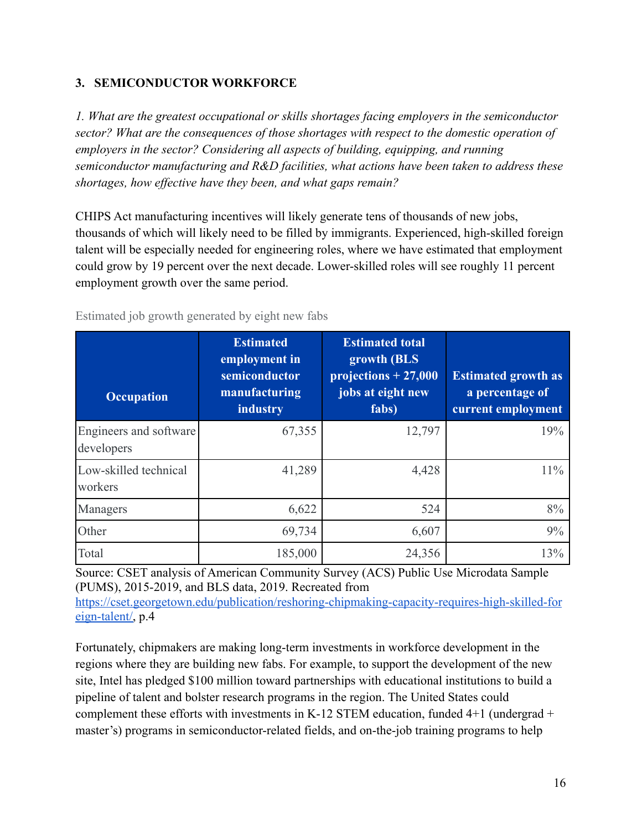### **3. SEMICONDUCTOR WORKFORCE**

*1. What are the greatest occupational or skills shortages facing employers in the semiconductor sector? What are the consequences of those shortages with respect to the domestic operation of employers in the sector? Considering all aspects of building, equipping, and running semiconductor manufacturing and R&D facilities, what actions have been taken to address these shortages, how effective have they been, and what gaps remain?*

CHIPS Act manufacturing incentives will likely generate tens of thousands of new jobs, thousands of which will likely need to be filled by immigrants. Experienced, high-skilled foreign talent will be especially needed for engineering roles, where we have estimated that employment could grow by 19 percent over the next decade. Lower-skilled roles will see roughly 11 percent employment growth over the same period.

Estimated job growth generated by eight new fabs

| <b>Occupation</b>                    | <b>Estimated</b><br>employment in<br>semiconductor<br>manufacturing<br>industry | <b>Estimated total</b><br>growth (BLS<br>projections $+27,000$<br>jobs at eight new<br>fabs) | <b>Estimated growth as</b><br>a percentage of<br>current employment |
|--------------------------------------|---------------------------------------------------------------------------------|----------------------------------------------------------------------------------------------|---------------------------------------------------------------------|
| Engineers and software<br>developers | 67,355                                                                          | 12,797                                                                                       | 19%                                                                 |
| Low-skilled technical<br>workers     | 41,289                                                                          | 4,428                                                                                        | $11\%$                                                              |
| Managers                             | 6,622                                                                           | 524                                                                                          | 8%                                                                  |
| Other                                | 69,734                                                                          | 6,607                                                                                        | 9%                                                                  |
| Total                                | 185,000                                                                         | 24,356                                                                                       | 13%                                                                 |

Source: CSET analysis of American Community Survey (ACS) Public Use Microdata Sample (PUMS), 2015-2019, and BLS data, 2019. Recreated from [https://cset.georgetown.edu/publication/reshoring-chipmaking-capacity-requires-high-skilled-for](https://cset.georgetown.edu/publication/reshoring-chipmaking-capacity-requires-high-skilled-foreign-talent/) [eign-talent/,](https://cset.georgetown.edu/publication/reshoring-chipmaking-capacity-requires-high-skilled-foreign-talent/) p.4

Fortunately, chipmakers are making long-term investments in workforce development in the regions where they are building new fabs. For example, to support the development of the new site, Intel has pledged \$100 million toward partnerships with educational institutions to build a pipeline of talent and bolster research programs in the region. The United States could complement these efforts with investments in K-12 STEM education, funded  $4+1$  (undergrad + master's) programs in semiconductor-related fields, and on-the-job training programs to help